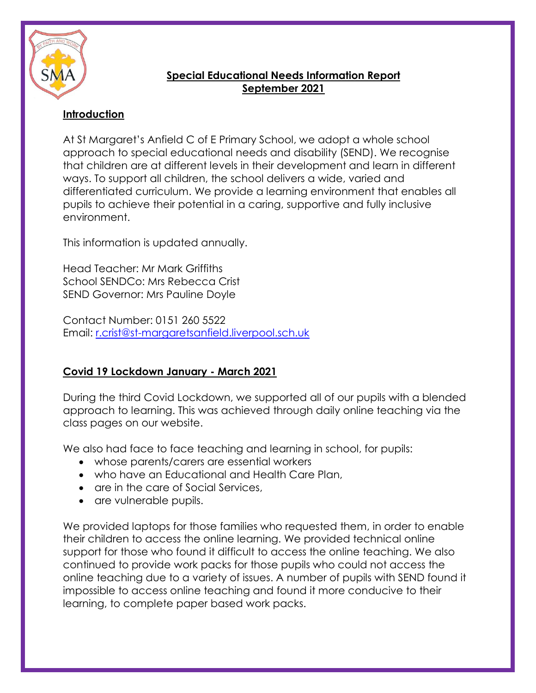

# **Special Educational Needs Information Report September 2021**

## **Introduction**

At St Margaret's Anfield C of E Primary School, we adopt a whole school approach to special educational needs and disability (SEND). We recognise that children are at different levels in their development and learn in different ways. To support all children, the school delivers a wide, varied and differentiated curriculum. We provide a learning environment that enables all pupils to achieve their potential in a caring, supportive and fully inclusive environment.

This information is updated annually.

Head Teacher: Mr Mark Griffiths School SENDCo: Mrs Rebecca Crist SEND Governor: Mrs Pauline Doyle

Contact Number: 0151 260 5522 Email: [r.crist@st-margaretsanfield.liverpool.sch.uk](mailto:r.crist@st-margaretsanfield.liverpool.sch.uk)

# **Covid 19 Lockdown January - March 2021**

During the third Covid Lockdown, we supported all of our pupils with a blended approach to learning. This was achieved through daily online teaching via the class pages on our website.

We also had face to face teaching and learning in school, for pupils:

- whose parents/carers are essential workers
- who have an Educational and Health Care Plan,
- are in the care of Social Services,
- are vulnerable pupils.

We provided laptops for those families who requested them, in order to enable their children to access the online learning. We provided technical online support for those who found it difficult to access the online teaching. We also continued to provide work packs for those pupils who could not access the online teaching due to a variety of issues. A number of pupils with SEND found it impossible to access online teaching and found it more conducive to their learning, to complete paper based work packs.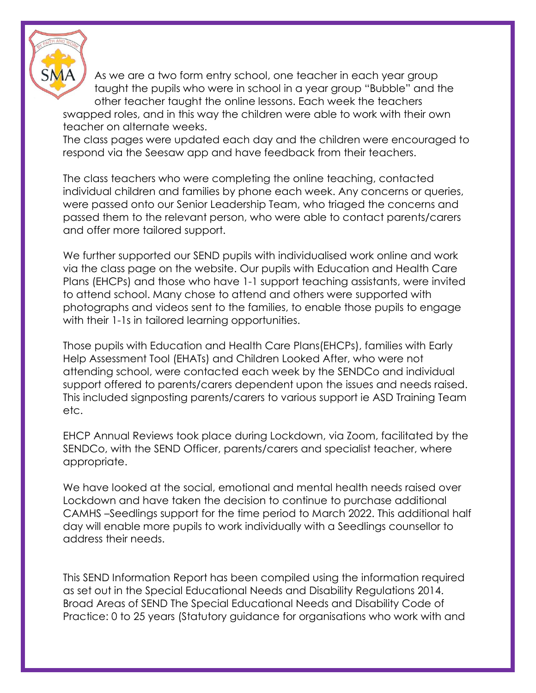

As we are a two form entry school, one teacher in each year group taught the pupils who were in school in a year group "Bubble" and the other teacher taught the online lessons. Each week the teachers

swapped roles, and in this way the children were able to work with their own teacher on alternate weeks.

The class pages were updated each day and the children were encouraged to respond via the Seesaw app and have feedback from their teachers.

The class teachers who were completing the online teaching, contacted individual children and families by phone each week. Any concerns or queries, were passed onto our Senior Leadership Team, who triaged the concerns and passed them to the relevant person, who were able to contact parents/carers and offer more tailored support.

We further supported our SEND pupils with individualised work online and work via the class page on the website. Our pupils with Education and Health Care Plans (EHCPs) and those who have 1-1 support teaching assistants, were invited to attend school. Many chose to attend and others were supported with photographs and videos sent to the families, to enable those pupils to engage with their 1-1s in tailored learning opportunities.

Those pupils with Education and Health Care Plans(EHCPs), families with Early Help Assessment Tool (EHATs) and Children Looked After, who were not attending school, were contacted each week by the SENDCo and individual support offered to parents/carers dependent upon the issues and needs raised. This included signposting parents/carers to various support ie ASD Training Team etc.

EHCP Annual Reviews took place during Lockdown, via Zoom, facilitated by the SENDCo, with the SEND Officer, parents/carers and specialist teacher, where appropriate.

We have looked at the social, emotional and mental health needs raised over Lockdown and have taken the decision to continue to purchase additional CAMHS –Seedlings support for the time period to March 2022. This additional half day will enable more pupils to work individually with a Seedlings counsellor to address their needs.

This SEND Information Report has been compiled using the information required as set out in the Special Educational Needs and Disability Regulations 2014. Broad Areas of SEND The Special Educational Needs and Disability Code of Practice: 0 to 25 years (Statutory guidance for organisations who work with and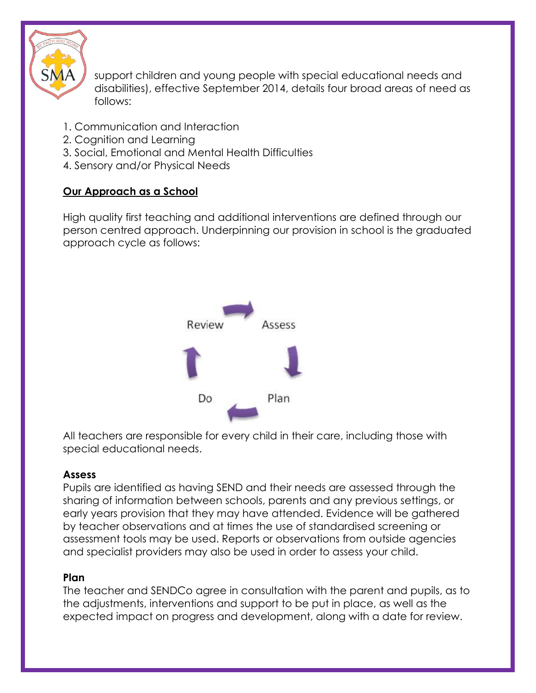

support children and young people with special educational needs and disabilities), effective September 2014, details four broad areas of need as follows:

- 1. Communication and Interaction
- 2. Cognition and Learning
- 3. Social, Emotional and Mental Health Difficulties
- 4. Sensory and/or Physical Needs

# **Our Approach as a School**

High quality first teaching and additional interventions are defined through our person centred approach. Underpinning our provision in school is the graduated approach cycle as follows:



All teachers are responsible for every child in their care, including those with special educational needs.

# **Assess**

Pupils are identified as having SEND and their needs are assessed through the sharing of information between schools, parents and any previous settings, or early years provision that they may have attended. Evidence will be gathered by teacher observations and at times the use of standardised screening or assessment tools may be used. Reports or observations from outside agencies and specialist providers may also be used in order to assess your child.

## **Plan**

The teacher and SENDCo agree in consultation with the parent and pupils, as to the adjustments, interventions and support to be put in place, as well as the expected impact on progress and development, along with a date for review.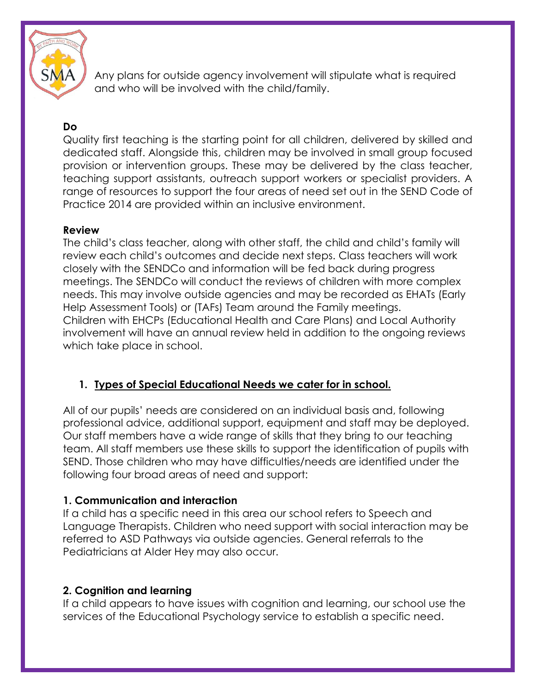

Any plans for outside agency involvement will stipulate what is required and who will be involved with the child/family.

## **Do**

Quality first teaching is the starting point for all children, delivered by skilled and dedicated staff. Alongside this, children may be involved in small group focused provision or intervention groups. These may be delivered by the class teacher, teaching support assistants, outreach support workers or specialist providers. A range of resources to support the four areas of need set out in the SEND Code of Practice 2014 are provided within an inclusive environment.

#### **Review**

The child's class teacher, along with other staff, the child and child's family will review each child's outcomes and decide next steps. Class teachers will work closely with the SENDCo and information will be fed back during progress meetings. The SENDCo will conduct the reviews of children with more complex needs. This may involve outside agencies and may be recorded as EHATs (Early Help Assessment Tools) or (TAFs) Team around the Family meetings. Children with EHCPs (Educational Health and Care Plans) and Local Authority involvement will have an annual review held in addition to the ongoing reviews which take place in school.

## **1. Types of Special Educational Needs we cater for in school.**

All of our pupils' needs are considered on an individual basis and, following professional advice, additional support, equipment and staff may be deployed. Our staff members have a wide range of skills that they bring to our teaching team. All staff members use these skills to support the identification of pupils with SEND. Those children who may have difficulties/needs are identified under the following four broad areas of need and support:

## **1. Communication and interaction**

If a child has a specific need in this area our school refers to Speech and Language Therapists. Children who need support with social interaction may be referred to ASD Pathways via outside agencies. General referrals to the Pediatricians at Alder Hey may also occur.

#### **2. Cognition and learning**

If a child appears to have issues with cognition and learning, our school use the services of the Educational Psychology service to establish a specific need.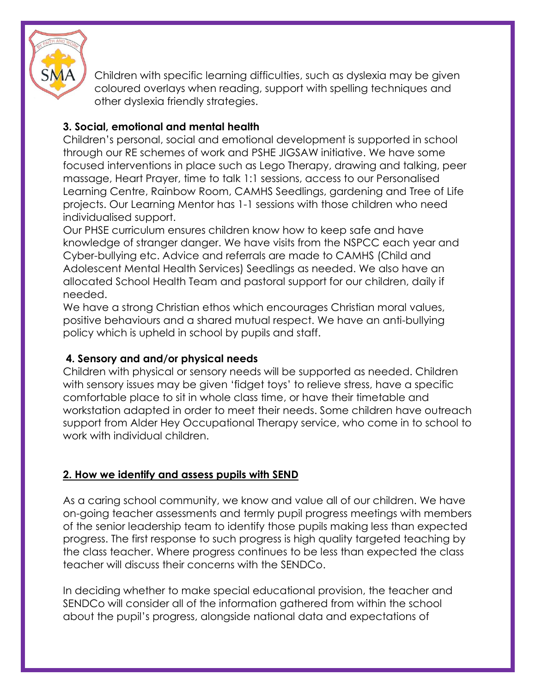

Children with specific learning difficulties, such as dyslexia may be given coloured overlays when reading, support with spelling techniques and other dyslexia friendly strategies.

# **3. Social, emotional and mental health**

Children's personal, social and emotional development is supported in school through our RE schemes of work and PSHE JIGSAW initiative. We have some focused interventions in place such as Lego Therapy, drawing and talking, peer massage, Heart Prayer, time to talk 1:1 sessions, access to our Personalised Learning Centre, Rainbow Room, CAMHS Seedlings, gardening and Tree of Life projects. Our Learning Mentor has 1-1 sessions with those children who need individualised support.

Our PHSE curriculum ensures children know how to keep safe and have knowledge of stranger danger. We have visits from the NSPCC each year and Cyber-bullying etc. Advice and referrals are made to CAMHS (Child and Adolescent Mental Health Services) Seedlings as needed. We also have an allocated School Health Team and pastoral support for our children, daily if needed.

We have a strong Christian ethos which encourages Christian moral values, positive behaviours and a shared mutual respect. We have an anti-bullying policy which is upheld in school by pupils and staff.

## **4. Sensory and and/or physical needs**

Children with physical or sensory needs will be supported as needed. Children with sensory issues may be given 'fidget toys' to relieve stress, have a specific comfortable place to sit in whole class time, or have their timetable and workstation adapted in order to meet their needs. Some children have outreach support from Alder Hey Occupational Therapy service, who come in to school to work with individual children.

## **2. How we identify and assess pupils with SEND**

As a caring school community, we know and value all of our children. We have on-going teacher assessments and termly pupil progress meetings with members of the senior leadership team to identify those pupils making less than expected progress. The first response to such progress is high quality targeted teaching by the class teacher. Where progress continues to be less than expected the class teacher will discuss their concerns with the SENDCo.

In deciding whether to make special educational provision, the teacher and SENDCo will consider all of the information gathered from within the school about the pupil's progress, alongside national data and expectations of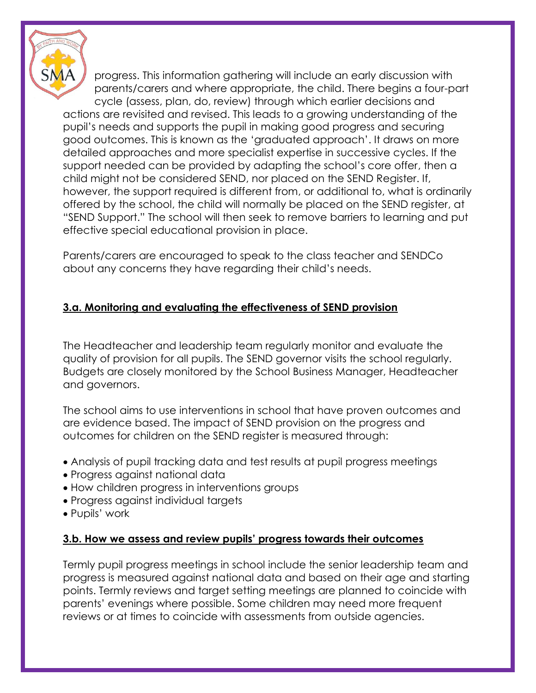

progress. This information gathering will include an early discussion with parents/carers and where appropriate, the child. There begins a four-part cycle (assess, plan, do, review) through which earlier decisions and actions are revisited and revised. This leads to a growing understanding of the pupil's needs and supports the pupil in making good progress and securing good outcomes. This is known as the 'graduated approach'. It draws on more detailed approaches and more specialist expertise in successive cycles. If the support needed can be provided by adapting the school's core offer, then a child might not be considered SEND, nor placed on the SEND Register. If, however, the support required is different from, or additional to, what is ordinarily offered by the school, the child will normally be placed on the SEND register, at "SEND Support." The school will then seek to remove barriers to learning and put effective special educational provision in place.

Parents/carers are encouraged to speak to the class teacher and SENDCo about any concerns they have regarding their child's needs.

# **3.a. Monitoring and evaluating the effectiveness of SEND provision**

The Headteacher and leadership team regularly monitor and evaluate the quality of provision for all pupils. The SEND governor visits the school regularly. Budgets are closely monitored by the School Business Manager, Headteacher and governors.

The school aims to use interventions in school that have proven outcomes and are evidence based. The impact of SEND provision on the progress and outcomes for children on the SEND register is measured through:

- Analysis of pupil tracking data and test results at pupil progress meetings
- Progress against national data
- How children progress in interventions groups
- Progress against individual targets
- Pupils' work

#### **3.b. How we assess and review pupils' progress towards their outcomes**

Termly pupil progress meetings in school include the senior leadership team and progress is measured against national data and based on their age and starting points. Termly reviews and target setting meetings are planned to coincide with parents' evenings where possible. Some children may need more frequent reviews or at times to coincide with assessments from outside agencies.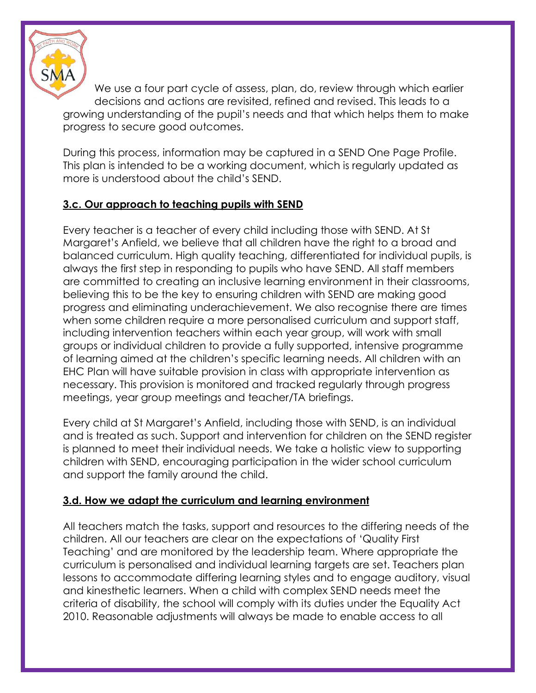

We use a four part cycle of assess, plan, do, review through which earlier decisions and actions are revisited, refined and revised. This leads to a growing understanding of the pupil's needs and that which helps them to make progress to secure good outcomes.

During this process, information may be captured in a SEND One Page Profile. This plan is intended to be a working document, which is regularly updated as more is understood about the child's SEND.

#### **3.c. Our approach to teaching pupils with SEND**

Every teacher is a teacher of every child including those with SEND. At St Margaret's Anfield, we believe that all children have the right to a broad and balanced curriculum. High quality teaching, differentiated for individual pupils, is always the first step in responding to pupils who have SEND. All staff members are committed to creating an inclusive learning environment in their classrooms, believing this to be the key to ensuring children with SEND are making good progress and eliminating underachievement. We also recognise there are times when some children require a more personalised curriculum and support staff, including intervention teachers within each year group, will work with small groups or individual children to provide a fully supported, intensive programme of learning aimed at the children's specific learning needs. All children with an EHC Plan will have suitable provision in class with appropriate intervention as necessary. This provision is monitored and tracked regularly through progress meetings, year group meetings and teacher/TA briefings.

Every child at St Margaret's Anfield, including those with SEND, is an individual and is treated as such. Support and intervention for children on the SEND register is planned to meet their individual needs. We take a holistic view to supporting children with SEND, encouraging participation in the wider school curriculum and support the family around the child.

#### **3.d. How we adapt the curriculum and learning environment**

All teachers match the tasks, support and resources to the differing needs of the children. All our teachers are clear on the expectations of 'Quality First Teaching' and are monitored by the leadership team. Where appropriate the curriculum is personalised and individual learning targets are set. Teachers plan lessons to accommodate differing learning styles and to engage auditory, visual and kinesthetic learners. When a child with complex SEND needs meet the criteria of disability, the school will comply with its duties under the Equality Act 2010. Reasonable adjustments will always be made to enable access to all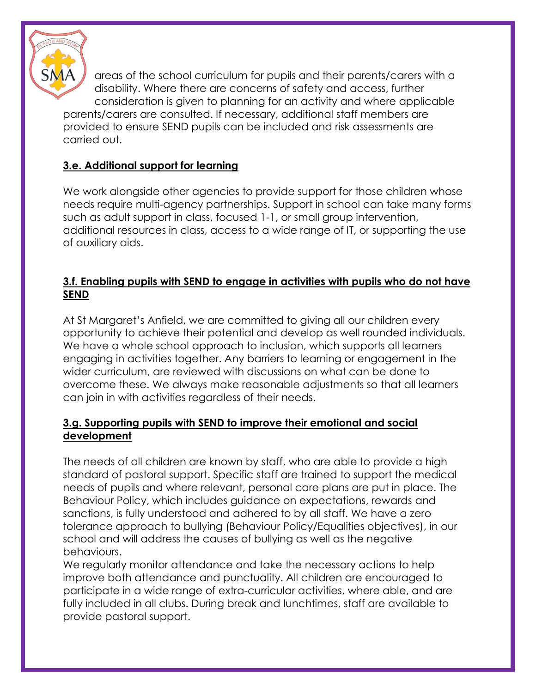

areas of the school curriculum for pupils and their parents/carers with a disability. Where there are concerns of safety and access, further consideration is given to planning for an activity and where applicable parents/carers are consulted. If necessary, additional staff members are provided to ensure SEND pupils can be included and risk assessments are carried out.

# **3.e. Additional support for learning**

We work alongside other agencies to provide support for those children whose needs require multi-agency partnerships. Support in school can take many forms such as adult support in class, focused 1-1, or small group intervention, additional resources in class, access to a wide range of IT, or supporting the use of auxiliary aids.

#### **3.f. Enabling pupils with SEND to engage in activities with pupils who do not have SEND**

At St Margaret's Anfield, we are committed to giving all our children every opportunity to achieve their potential and develop as well rounded individuals. We have a whole school approach to inclusion, which supports all learners engaging in activities together. Any barriers to learning or engagement in the wider curriculum, are reviewed with discussions on what can be done to overcome these. We always make reasonable adjustments so that all learners can join in with activities regardless of their needs.

#### **3.g. Supporting pupils with SEND to improve their emotional and social development**

The needs of all children are known by staff, who are able to provide a high standard of pastoral support. Specific staff are trained to support the medical needs of pupils and where relevant, personal care plans are put in place. The Behaviour Policy, which includes guidance on expectations, rewards and sanctions, is fully understood and adhered to by all staff. We have a zero tolerance approach to bullying (Behaviour Policy/Equalities objectives), in our school and will address the causes of bullying as well as the negative behaviours.

We regularly monitor attendance and take the necessary actions to help improve both attendance and punctuality. All children are encouraged to participate in a wide range of extra-curricular activities, where able, and are fully included in all clubs. During break and lunchtimes, staff are available to provide pastoral support.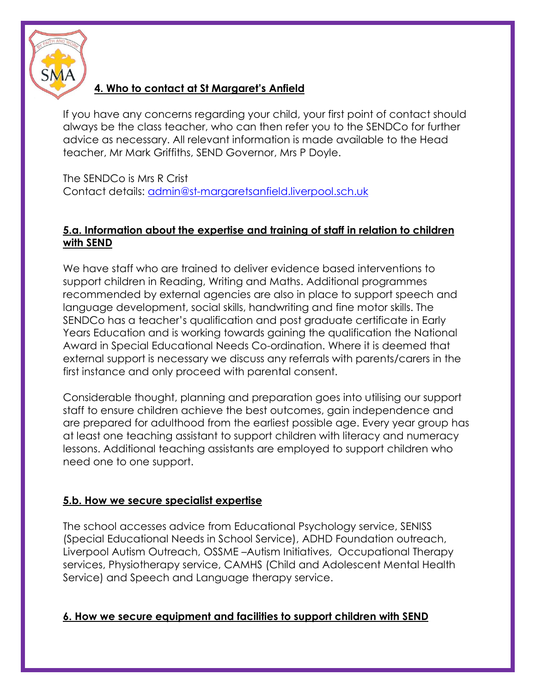

### **4. Who to contact at St Margaret's Anfield**

If you have any concerns regarding your child, your first point of contact should always be the class teacher, who can then refer you to the SENDCo for further advice as necessary. All relevant information is made available to the Head teacher, Mr Mark Griffiths, SEND Governor, Mrs P Doyle.

The SENDCo is Mrs R Crist Contact details: [admin@st-margaretsanfield.liverpool.sch.uk](mailto:admin@st-margaretsanfield.liverpool.sch.uk)

#### **5.a. Information about the expertise and training of staff in relation to children with SEND**

We have staff who are trained to deliver evidence based interventions to support children in Reading, Writing and Maths. Additional programmes recommended by external agencies are also in place to support speech and language development, social skills, handwriting and fine motor skills. The SENDCo has a teacher's qualification and post graduate certificate in Early Years Education and is working towards gaining the qualification the National Award in Special Educational Needs Co-ordination. Where it is deemed that external support is necessary we discuss any referrals with parents/carers in the first instance and only proceed with parental consent.

Considerable thought, planning and preparation goes into utilising our support staff to ensure children achieve the best outcomes, gain independence and are prepared for adulthood from the earliest possible age. Every year group has at least one teaching assistant to support children with literacy and numeracy lessons. Additional teaching assistants are employed to support children who need one to one support.

## **5.b. How we secure specialist expertise**

The school accesses advice from Educational Psychology service, SENISS (Special Educational Needs in School Service), ADHD Foundation outreach, Liverpool Autism Outreach, OSSME –Autism Initiatives, Occupational Therapy services, Physiotherapy service, CAMHS (Child and Adolescent Mental Health Service) and Speech and Language therapy service.

#### **6. How we secure equipment and facilities to support children with SEND**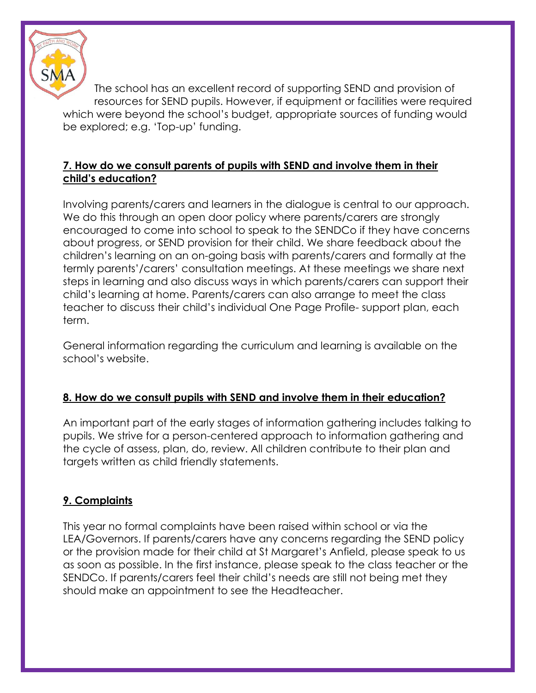

The school has an excellent record of supporting SEND and provision of resources for SEND pupils. However, if equipment or facilities were required which were beyond the school's budget, appropriate sources of funding would be explored; e.g. 'Top-up' funding.

## **7. How do we consult parents of pupils with SEND and involve them in their child's education?**

Involving parents/carers and learners in the dialogue is central to our approach. We do this through an open door policy where parents/carers are strongly encouraged to come into school to speak to the SENDCo if they have concerns about progress, or SEND provision for their child. We share feedback about the children's learning on an on-going basis with parents/carers and formally at the termly parents'/carers' consultation meetings. At these meetings we share next steps in learning and also discuss ways in which parents/carers can support their child's learning at home. Parents/carers can also arrange to meet the class teacher to discuss their child's individual One Page Profile- support plan, each term.

General information regarding the curriculum and learning is available on the school's website.

## **8. How do we consult pupils with SEND and involve them in their education?**

An important part of the early stages of information gathering includes talking to pupils. We strive for a person-centered approach to information gathering and the cycle of assess, plan, do, review. All children contribute to their plan and targets written as child friendly statements.

## **9. Complaints**

This year no formal complaints have been raised within school or via the LEA/Governors. If parents/carers have any concerns regarding the SEND policy or the provision made for their child at St Margaret's Anfield, please speak to us as soon as possible. In the first instance, please speak to the class teacher or the SENDCo. If parents/carers feel their child's needs are still not being met they should make an appointment to see the Headteacher.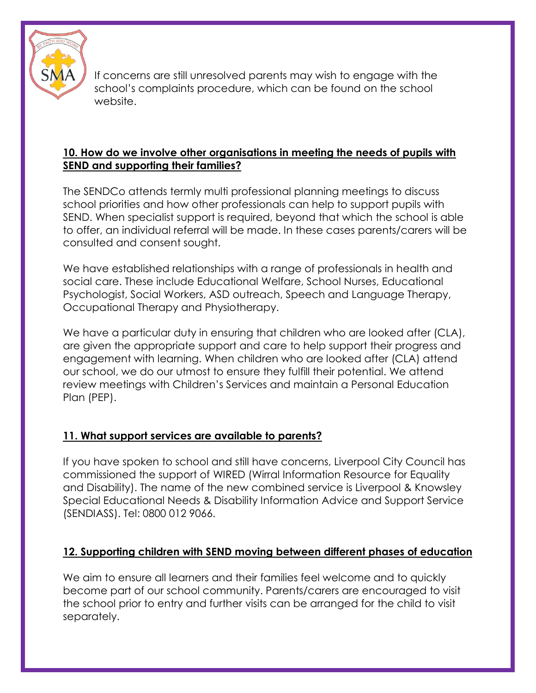

If concerns are still unresolved parents may wish to engage with the school's complaints procedure, which can be found on the school website.

#### **10. How do we involve other organisations in meeting the needs of pupils with SEND and supporting their families?**

The SENDCo attends termly multi professional planning meetings to discuss school priorities and how other professionals can help to support pupils with SEND. When specialist support is required, beyond that which the school is able to offer, an individual referral will be made. In these cases parents/carers will be consulted and consent sought.

We have established relationships with a range of professionals in health and social care. These include Educational Welfare, School Nurses, Educational Psychologist, Social Workers, ASD outreach, Speech and Language Therapy, Occupational Therapy and Physiotherapy.

We have a particular duty in ensuring that children who are looked after (CLA), are given the appropriate support and care to help support their progress and engagement with learning. When children who are looked after (CLA) attend our school, we do our utmost to ensure they fulfill their potential. We attend review meetings with Children's Services and maintain a Personal Education Plan (PEP).

# **11. What support services are available to parents?**

If you have spoken to school and still have concerns, Liverpool City Council has commissioned the support of WIRED (Wirral Information Resource for Equality and Disability). The name of the new combined service is Liverpool & Knowsley Special Educational Needs & Disability Information Advice and Support Service (SENDIASS). Tel: 0800 012 9066.

## **12. Supporting children with SEND moving between different phases of education**

We aim to ensure all learners and their families feel welcome and to quickly become part of our school community. Parents/carers are encouraged to visit the school prior to entry and further visits can be arranged for the child to visit separately.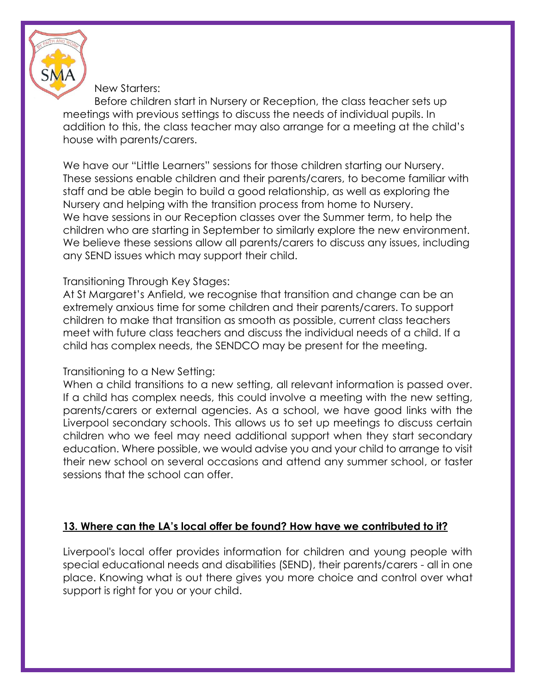

#### New Starters:

Before children start in Nursery or Reception, the class teacher sets up meetings with previous settings to discuss the needs of individual pupils. In addition to this, the class teacher may also arrange for a meeting at the child's house with parents/carers.

We have our "Little Learners" sessions for those children starting our Nursery. These sessions enable children and their parents/carers, to become familiar with staff and be able begin to build a good relationship, as well as exploring the Nursery and helping with the transition process from home to Nursery. We have sessions in our Reception classes over the Summer term, to help the children who are starting in September to similarly explore the new environment. We believe these sessions allow all parents/carers to discuss any issues, including any SEND issues which may support their child.

#### Transitioning Through Key Stages:

At St Margaret's Anfield, we recognise that transition and change can be an extremely anxious time for some children and their parents/carers. To support children to make that transition as smooth as possible, current class teachers meet with future class teachers and discuss the individual needs of a child. If a child has complex needs, the SENDCO may be present for the meeting.

#### Transitioning to a New Setting:

When a child transitions to a new setting, all relevant information is passed over. If a child has complex needs, this could involve a meeting with the new setting, parents/carers or external agencies. As a school, we have good links with the Liverpool secondary schools. This allows us to set up meetings to discuss certain children who we feel may need additional support when they start secondary education. Where possible, we would advise you and your child to arrange to visit their new school on several occasions and attend any summer school, or taster sessions that the school can offer.

#### **13. Where can the LA's local offer be found? How have we contributed to it?**

Liverpool's local offer provides information for children and young people with special educational needs and disabilities (SEND), their parents/carers - all in one place. Knowing what is out there gives you more choice and control over what support is right for you or your child.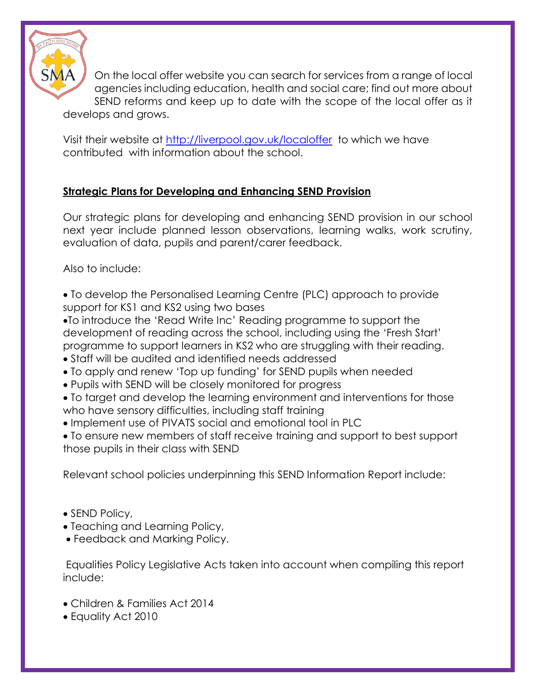

On the local offer website you can search for services from a range of local agencies including education, health and social care; find out more about SEND reforms and keep up to date with the scope of the local offer as it develops and grows.

Visit their website at<http://liverpool.gov.uk/localoffer> to which we have contributed with information about the school.

# **Strategic Plans for Developing and Enhancing SEND Provision**

Our strategic plans for developing and enhancing SEND provision in our school next year include planned lesson observations, learning walks, work scrutiny, evaluation of data, pupils and parent/carer feedback.

Also to include:

• To develop the Personalised Learning Centre (PLC) approach to provide support for KS1 and KS2 using two bases

•To introduce the 'Read Write Inc' Reading programme to support the development of reading across the school, including using the 'Fresh Start' programme to support learners in KS2 who are struggling with their reading.

- Staff will be audited and identified needs addressed
- To apply and renew 'Top up funding' for SEND pupils when needed
- Pupils with SEND will be closely monitored for progress

• To target and develop the learning environment and interventions for those who have sensory difficulties, including staff training

• Implement use of PIVATS social and emotional tool in PLC

• To ensure new members of staff receive training and support to best support those pupils in their class with SEND

Relevant school policies underpinning this SEND Information Report include:

- SEND Policy,
- Teaching and Learning Policy,
- Feedback and Marking Policy.

Equalities Policy Legislative Acts taken into account when compiling this report include:

- Children & Families Act 2014
- Equality Act 2010